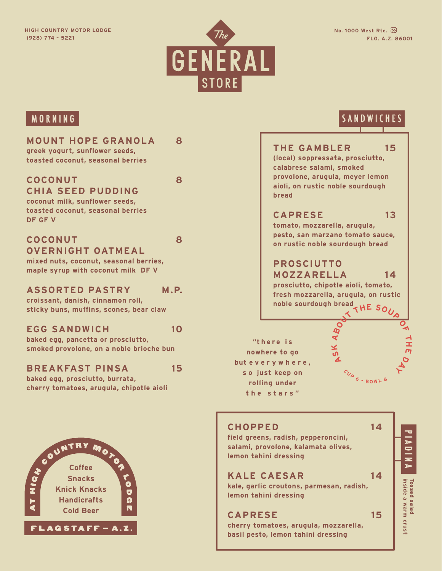

#### **MOUNT HOPE GRANOLA 8 greek yogurt, sunflower seeds,**

**toasted coconut, seasonal berries**

#### **COCONUT 8 CHIA SEED PUDDING**

**coconut milk, sunflower seeds, toasted coconut, seasonal berries DF GF V**

#### **COCONUT 8 OVERNIGHT OATMEAL**

**mixed nuts, coconut, seasonal berries, maple syrup with coconut milk DF V**

#### **ASSORTED PASTRY M.P.**

**croissant, danish, cinnamon roll, sticky buns, muffins, scones, bear claw**

#### **EGG SANDWICH 10**

**baked egg, pancetta or prosciutto, smoked provolone, on a noble brioche bun**

#### **BREAKFAST PINSA 15**

**baked egg, prosciutto, burrata, cherry tomatoes, arugula, chipotle aioli**



# MORNING SANDWICHES (SANDWICHES) (SANDWICHES)

## **THE GAMBLER 15 (local) soppressata, prosciutto, calabrese salami, smoked provolone, arugula, meyer lemon aioli, on rustic noble sourdough bread CAPRESE 13 tomato, mozzarella, arugula,**

**pesto, san marzano tomato sauce, on rustic noble sourdough bread**

# **PROSCIUTTO MOZZARELLA 14**

 $h$ **F**  $\overline{SO}$ **prosciutto, chipotle aioli, tomato, fresh mozzarella, arugula, on rustic noble sourdough bread**

**"t h e r e i s nowhere to go but e v e r y w h e r e , s o just keep on rolling under the stars"**

#### **AS K A T H תו DAY <sup>C</sup> <sup>U</sup> <sup>P</sup> <sup>6</sup> -<sup>B</sup> <sup>O</sup> <sup>W</sup> <sup>L</sup> <sup>8</sup>**

## **CHOPPED 14**

**field greens, radish, pepperoncini, salami, provolone, kalamata olives, lemon tahini dressing**

### **KALE CAESAR 14**

**kale, garlic croutons, parmesan, radish, lemon tahini dressing**

**CAPRESE 15**

**cherry tomatoes, arugula, mozzarella, basil pesto, lemon tahini dressing**